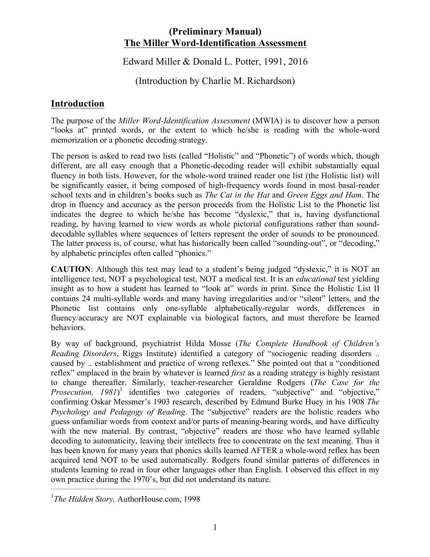### **(Preliminary Manual) The Miller Word-Identification Assessment**

Edward Miller & Donald L. Potter, 1991, 2016

(Introduction by Charlie M. Richardson)

# **Introduction**

The purpose of the *Miller Word-Identification Assessment* (MWIA) is to discover how a person "looks at" printed words, or the extent to which he/she is reading with the whole-word memorization or a phonetic decoding strategy.

The person is asked to read two lists (called "Holistic" and "Phonetic") of words which, though different, are all easy enough that a Phonetic-decoding reader will exhibit substantially equal fluency in both lists. However, for the whole-word trained reader one list (the Holistic list) will be significantly easier, it being composed of high-frequency words found in most basal-reader school texts and in children's books such as *The Cat in the Hat* and *Green Eggs and Ham*. The drop in fluency and accuracy as the person proceeds from the Holistic List to the Phonetic list indicates the degree to which he/she has become "dyslexic," that is, having dysfunctional reading, by having learned to view words as whole pictorial configurations rather than sounddecodable syllables where sequences of letters represent the order of sounds to be pronounced. The latter process is, of course, what has historically been called "sounding-out", or "decoding," by alphabetic principles often called "phonics."

**CAUTION**: Although this test may lead to a student's being judged "dyslexic," it is NOT an intelligence test, NOT a psychological test, NOT a medical test. It is an *educational* test yielding insight as to how a student has learned to "look at" words in print. Since the Holistic List II contains 24 multi-syllable words and many having irregularities and/or "silent" letters, and the Phonetic list contains only one-syllable alphabetically-regular words, differences in fluency/accuracy are NOT explainable via biological factors, and must therefore be learned behaviors.

By way of background, psychiatrist Hilda Mosse (*The Complete Handbook of Children's Reading Disorders*, Riggs Institute) identified a category of "sociogenic reading disorders .. caused by .. establishment and practice of wrong reflexes." She pointed out that a "conditioned reflex" emplaced in the brain by whatever is learned *first* as a reading strategy is highly resistant to change thereafter. Similarly, teacher-researcher Geraldine Rodgers (*The Case for the Prosecution, 1981*)<sup>1</sup> identifies two categories of readers, "subjective" and "objective," confirming Oskar Messmer's 1903 research, described by Edmund Burke Huey in his 1908 *The Psychology and Pedagogy of Reading*. The "subjective" readers are the holistic readers who guess unfamiliar words from context and/or parts of meaning-bearing words, and have difficulty with the new material. By contrast, "objective" readers are those who have learned syllable decoding to automaticity, leaving their intellects free to concentrate on the text meaning. Thus it has been known for many years that phonics skills learned AFTER a whole-word reflex has been acquired tend NOT to be used automatically. Rodgers found similar patterns of differences in students learning to read in four other languages other than English. I observed this effect in my own practice during the 1970's, but did not understand its nature.

<sup>1</sup> *The Hidden Story,* AuthorHouse.com, 1998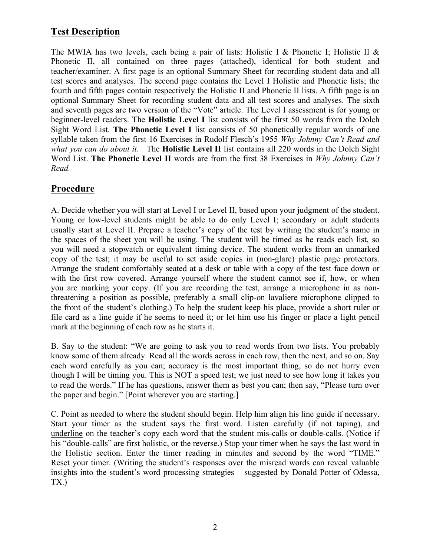# **Test Description**

The MWIA has two levels, each being a pair of lists: Holistic I & Phonetic I; Holistic II & Phonetic II, all contained on three pages (attached), identical for both student and teacher/examiner. A first page is an optional Summary Sheet for recording student data and all test scores and analyses. The second page contains the Level I Holistic and Phonetic lists; the fourth and fifth pages contain respectively the Holistic II and Phonetic II lists. A fifth page is an optional Summary Sheet for recording student data and all test scores and analyses. The sixth and seventh pages are two version of the "Vote" article. The Level I assessment is for young or beginner-level readers. The **Holistic Level I** list consists of the first 50 words from the Dolch Sight Word List. **The Phonetic Level I** list consists of 50 phonetically regular words of one syllable taken from the first 16 Exercises in Rudolf Flesch's 1955 *Why Johnny Can't Read and what you can do about it*. The **Holistic Level II** list contains all 220 words in the Dolch Sight Word List. **The Phonetic Level II** words are from the first 38 Exercises in *Why Johnny Can't Read.* 

# **Procedure**

A. Decide whether you will start at Level I or Level II, based upon your judgment of the student. Young or low-level students might be able to do only Level I; secondary or adult students usually start at Level II. Prepare a teacher's copy of the test by writing the student's name in the spaces of the sheet you will be using. The student will be timed as he reads each list, so you will need a stopwatch or equivalent timing device. The student works from an unmarked copy of the test; it may be useful to set aside copies in (non-glare) plastic page protectors. Arrange the student comfortably seated at a desk or table with a copy of the test face down or with the first row covered. Arrange yourself where the student cannot see if, how, or when you are marking your copy. (If you are recording the test, arrange a microphone in as nonthreatening a position as possible, preferably a small clip-on lavaliere microphone clipped to the front of the student's clothing.) To help the student keep his place, provide a short ruler or file card as a line guide if he seems to need it; or let him use his finger or place a light pencil mark at the beginning of each row as he starts it.

B. Say to the student: "We are going to ask you to read words from two lists. You probably know some of them already. Read all the words across in each row, then the next, and so on. Say each word carefully as you can; accuracy is the most important thing, so do not hurry even though I will be timing you. This is NOT a speed test; we just need to see how long it takes you to read the words." If he has questions, answer them as best you can; then say, "Please turn over the paper and begin." [Point wherever you are starting.]

C. Point as needed to where the student should begin. Help him align his line guide if necessary. Start your timer as the student says the first word. Listen carefully (if not taping), and underline on the teacher's copy each word that the student mis-calls or double-calls. (Notice if his "double-calls" are first holistic, or the reverse.) Stop your timer when he says the last word in the Holistic section. Enter the timer reading in minutes and second by the word "TIME." Reset your timer. (Writing the student's responses over the misread words can reveal valuable insights into the student's word processing strategies – suggested by Donald Potter of Odessa, TX.)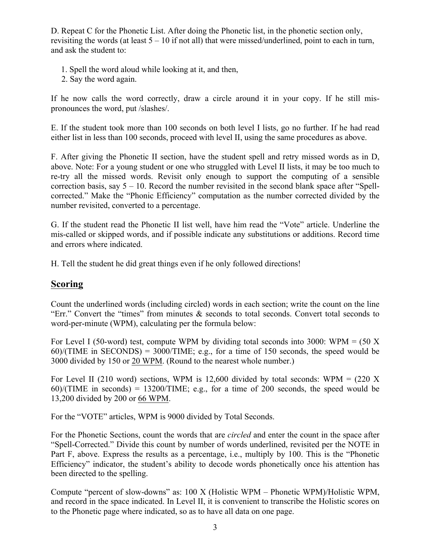D. Repeat C for the Phonetic List. After doing the Phonetic list, in the phonetic section only, revisiting the words (at least  $5 - 10$  if not all) that were missed/underlined, point to each in turn, and ask the student to:

- 1. Spell the word aloud while looking at it, and then,
- 2. Say the word again.

If he now calls the word correctly, draw a circle around it in your copy. If he still mispronounces the word, put /slashes/.

E. If the student took more than 100 seconds on both level I lists, go no further. If he had read either list in less than 100 seconds, proceed with level II, using the same procedures as above.

F. After giving the Phonetic II section, have the student spell and retry missed words as in D, above. Note: For a young student or one who struggled with Level II lists, it may be too much to re-try all the missed words. Revisit only enough to support the computing of a sensible correction basis, say  $5 - 10$ . Record the number revisited in the second blank space after "Spellcorrected." Make the "Phonic Efficiency" computation as the number corrected divided by the number revisited, converted to a percentage.

G. If the student read the Phonetic II list well, have him read the "Vote" article. Underline the mis-called or skipped words, and if possible indicate any substitutions or additions. Record time and errors where indicated.

H. Tell the student he did great things even if he only followed directions!

### **Scoring**

Count the underlined words (including circled) words in each section; write the count on the line "Err." Convert the "times" from minutes & seconds to total seconds. Convert total seconds to word-per-minute (WPM), calculating per the formula below:

For Level I (50-word) test, compute WPM by dividing total seconds into 3000: WPM = (50 X) 60)/(TIME in SECONDS) = 3000/TIME; e.g., for a time of 150 seconds, the speed would be 3000 divided by 150 or 20 WPM. (Round to the nearest whole number.)

For Level II (210 word) sections, WPM is 12,600 divided by total seconds: WPM = (220 X) 60)/(TIME in seconds) = 13200/TIME; e.g., for a time of 200 seconds, the speed would be 13,200 divided by 200 or 66 WPM.

For the "VOTE" articles, WPM is 9000 divided by Total Seconds.

For the Phonetic Sections, count the words that are *circled* and enter the count in the space after "Spell-Corrected." Divide this count by number of words underlined, revisited per the NOTE in Part F, above. Express the results as a percentage, i.e., multiply by 100. This is the "Phonetic Efficiency" indicator, the student's ability to decode words phonetically once his attention has been directed to the spelling.

Compute "percent of slow-downs" as: 100 X (Holistic WPM – Phonetic WPM)/Holistic WPM, and record in the space indicated. In Level II, it is convenient to transcribe the Holistic scores on to the Phonetic page where indicated, so as to have all data on one page.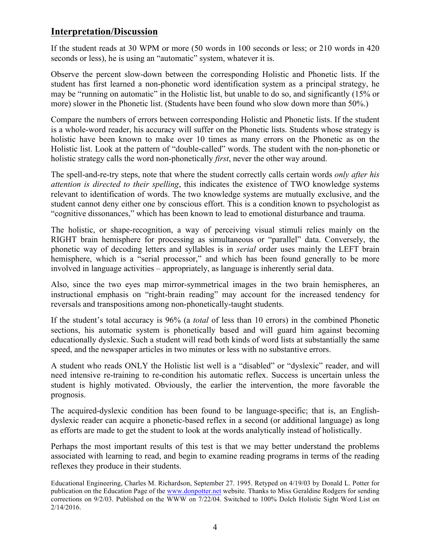### **Interpretation/Discussion**

If the student reads at 30 WPM or more (50 words in 100 seconds or less; or 210 words in 420 seconds or less), he is using an "automatic" system, whatever it is.

Observe the percent slow-down between the corresponding Holistic and Phonetic lists. If the student has first learned a non-phonetic word identification system as a principal strategy, he may be "running on automatic" in the Holistic list, but unable to do so, and significantly (15% or more) slower in the Phonetic list. (Students have been found who slow down more than 50%.)

Compare the numbers of errors between corresponding Holistic and Phonetic lists. If the student is a whole-word reader, his accuracy will suffer on the Phonetic lists. Students whose strategy is holistic have been known to make over 10 times as many errors on the Phonetic as on the Holistic list. Look at the pattern of "double-called" words. The student with the non-phonetic or holistic strategy calls the word non-phonetically *first*, never the other way around.

The spell-and-re-try steps, note that where the student correctly calls certain words *only after his attention is directed to their spelling*, this indicates the existence of TWO knowledge systems relevant to identification of words. The two knowledge systems are mutually exclusive, and the student cannot deny either one by conscious effort. This is a condition known to psychologist as "cognitive dissonances," which has been known to lead to emotional disturbance and trauma.

The holistic, or shape-recognition, a way of perceiving visual stimuli relies mainly on the RIGHT brain hemisphere for processing as simultaneous or "parallel" data. Conversely, the phonetic way of decoding letters and syllables is in *serial* order uses mainly the LEFT brain hemisphere, which is a "serial processor," and which has been found generally to be more involved in language activities – appropriately, as language is inherently serial data.

Also, since the two eyes map mirror-symmetrical images in the two brain hemispheres, an instructional emphasis on "right-brain reading" may account for the increased tendency for reversals and transpositions among non-phonetically-taught students.

If the student's total accuracy is 96% (a *total* of less than 10 errors) in the combined Phonetic sections, his automatic system is phonetically based and will guard him against becoming educationally dyslexic. Such a student will read both kinds of word lists at substantially the same speed, and the newspaper articles in two minutes or less with no substantive errors.

A student who reads ONLY the Holistic list well is a "disabled" or "dyslexic" reader, and will need intensive re-training to re-condition his automatic reflex. Success is uncertain unless the student is highly motivated. Obviously, the earlier the intervention, the more favorable the prognosis.

The acquired-dyslexic condition has been found to be language-specific; that is, an Englishdyslexic reader can acquire a phonetic-based reflex in a second (or additional language) as long as efforts are made to get the student to look at the words analytically instead of holistically.

Perhaps the most important results of this test is that we may better understand the problems associated with learning to read, and begin to examine reading programs in terms of the reading reflexes they produce in their students.

Educational Engineering, Charles M. Richardson, September 27. 1995. Retyped on 4/19/03 by Donald L. Potter for publication on the Education Page of the www.donpotter.net website. Thanks to Miss Geraldine Rodgers for sending corrections on 9/2/03. Published on the WWW on 7/22/04. Switched to 100% Dolch Holistic Sight Word List on 2/14/2016.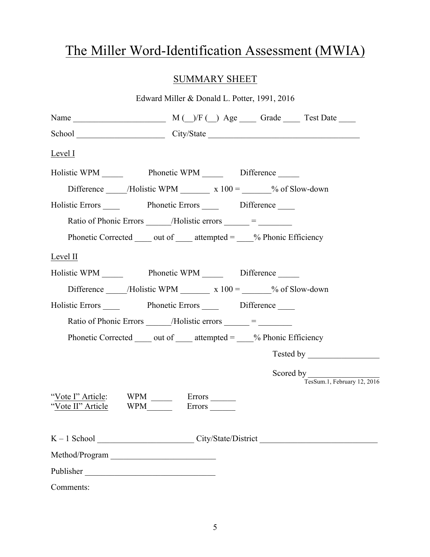# The Miller Word-Identification Assessment (MWIA)

# SUMMARY SHEET

| Edward Miller & Donald L. Potter, 1991, 2016                                   |
|--------------------------------------------------------------------------------|
|                                                                                |
| School City/State City/State                                                   |
| <b>Level I</b>                                                                 |
| Holistic WPM Phonetic WPM Difference ______                                    |
| Difference ______/Holistic WPM __________ x 100 = _______% of Slow-down        |
| Holistic Errors Phonetic Errors Difference                                     |
| Ratio of Phonic Errors ______/Holistic errors _____ = _______                  |
| Phonetic Corrected $\_\_$ out of $\_\_$ attempted = $\_\_$ % Phonic Efficiency |
| Level II                                                                       |
| Holistic WPM Phonetic WPM Difference                                           |
| Difference ______/Holistic WPM __________ x 100 = _______% of Slow-down        |
| Holistic Errors Phonetic Errors Difference                                     |
| Ratio of Phonic Errors ______/Holistic errors _____ = _______                  |
| Phonetic Corrected $\_\_$ out of $\_\_$ attempted = $\_\_$ % Phonic Efficiency |
|                                                                                |
| Scored by TesSum.1, February 12, 2016                                          |
| "Vote I" Article: WPM _______ Errors ______                                    |
|                                                                                |
| Method/Program                                                                 |
| Publisher                                                                      |
| Comments:                                                                      |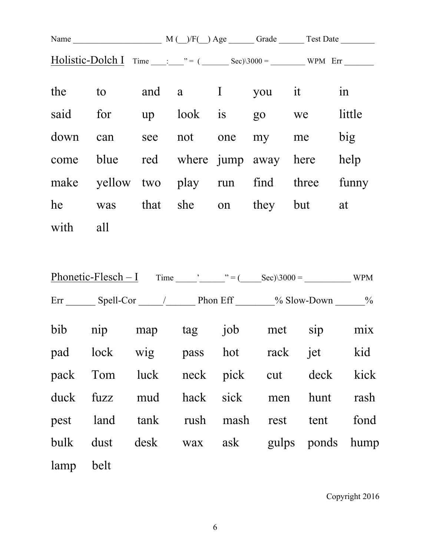|          |                                           |  | Holistic-Dolch I $Time$ $\frac{m}{2}$ = ( $\frac{m}{2}$ Sec)\3000 = $\frac{m}{2}$ WPM Err |  |  |  |    |  |
|----------|-------------------------------------------|--|-------------------------------------------------------------------------------------------|--|--|--|----|--|
|          | the to and a I you it                     |  |                                                                                           |  |  |  | 1n |  |
|          | said for up look is go we little          |  |                                                                                           |  |  |  |    |  |
|          | down can see not one my me big            |  |                                                                                           |  |  |  |    |  |
|          | come blue red where jump away here help   |  |                                                                                           |  |  |  |    |  |
|          | make yellow two play run find three funny |  |                                                                                           |  |  |  |    |  |
|          | he was that she on they but at            |  |                                                                                           |  |  |  |    |  |
| with all |                                           |  |                                                                                           |  |  |  |    |  |

|           | Err Spell-Cor / Phon Eff 16 % Slow-Down 26 |  |  |  |
|-----------|--------------------------------------------|--|--|--|
|           | bib nip map tag job met sip mix            |  |  |  |
|           | pad lock wig pass hot rack jet kid         |  |  |  |
|           | pack Tom luck neck pick cut deck kick      |  |  |  |
|           | duck fuzz mud hack sick men hunt rash      |  |  |  |
|           | pest land tank rush mash rest tent fond    |  |  |  |
|           | bulk dust desk wax ask gulps ponds hump    |  |  |  |
| lamp belt |                                            |  |  |  |

Copyright 2016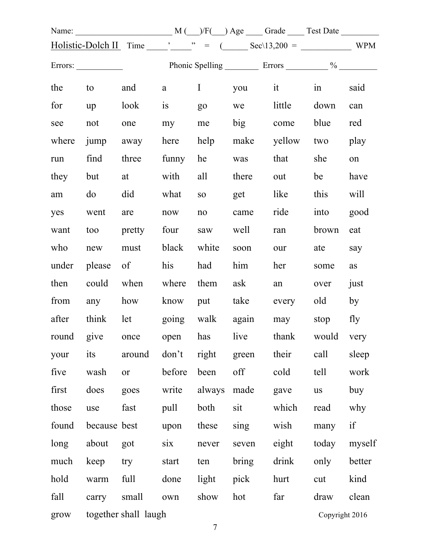|       |                 |                      |        |                 |       | Holistic-Dolch II Time $\frac{1}{\sqrt{2}}$ Time $\frac{1}{\sqrt{2}}$ = $\frac{1}{\sqrt{2}}$ Sec\13,200 = $\frac{1}{\sqrt{2}}$ WPM |                      |        |
|-------|-----------------|----------------------|--------|-----------------|-------|------------------------------------------------------------------------------------------------------------------------------------|----------------------|--------|
|       |                 |                      |        |                 |       |                                                                                                                                    |                      |        |
| the   |                 | to and               | a      |                 |       | I you it                                                                                                                           | $\sin$ $\frac{1}{2}$ | said   |
| for   | up              | look                 | is     | $g_0$           | we    | little                                                                                                                             | down                 | can    |
| see   | not             | one                  | my     | me              | big   | come                                                                                                                               | blue                 | red    |
| where |                 | jump away            | here   | help            |       | make yellow                                                                                                                        | two                  | play   |
| run   | find            | three                | funny  | he              | was   | that                                                                                                                               | she                  | on     |
| they  | but             | at                   | with   | all             | there | out                                                                                                                                | be                   | have   |
| am    | do              | did                  | what   | SO <sub>1</sub> | get   | like                                                                                                                               | this                 | will   |
| yes   | went            | are                  | now    | no              | came  | ride                                                                                                                               | into                 | good   |
| want  | too             | pretty               | four   | saw             | well  | ran                                                                                                                                | brown                | eat    |
| who   | new             | must                 | black  | white           | soon  | our                                                                                                                                | ate                  | say    |
| under | please          | $\sigma$             | his    | had             | him   | her                                                                                                                                | some                 | as     |
| then  |                 | could when           | where  | them            | ask   | an                                                                                                                                 | over                 | just   |
| from  |                 | any how              | know   | put             |       | take every                                                                                                                         | old                  | by     |
| after |                 | think let            |        |                 |       | going walk again may                                                                                                               | stop                 | fly    |
|       | round give once |                      | open   |                 |       | has live thank would very                                                                                                          |                      |        |
| your  | its             | around               | don't  | right           | green | their                                                                                                                              | call                 | sleep  |
| five  | wash            | <b>or</b>            | before | been            | off   | cold                                                                                                                               | tell                 | work   |
| first | does            | goes                 | write  | always          | made  | gave                                                                                                                               | <b>us</b>            | buy    |
| those | use             | fast                 | pull   | both            | sit   | which                                                                                                                              | read                 | why    |
| found | because best    |                      | upon   | these           | sing  | wish                                                                                                                               | many                 | if     |
| long  | about           | got                  | six    | never           | seven | eight                                                                                                                              | today                | myself |
| much  | keep            | try                  | start  | ten             | bring | drink                                                                                                                              | only                 | better |
| hold  | warm            | full                 | done   | light           | pick  | hurt                                                                                                                               | cut                  | kind   |
| fall  | carry           | small                | own    | show            | hot   | far                                                                                                                                | draw                 | clean  |
| grow  |                 | together shall laugh |        | $\tau$          |       |                                                                                                                                    | Copyright 2016       |        |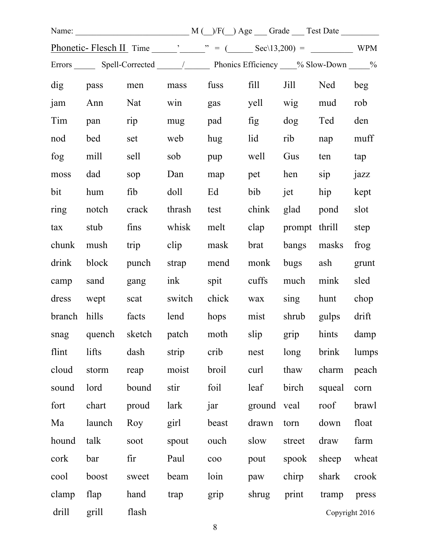|            |        | Phonetic-Flesch II Time $\frac{1}{\sqrt{2}}$ $\frac{1}{\sqrt{2}}$ = $\frac{1}{\sqrt{2}}$ Sec\13,200) = $\frac{1}{\sqrt{2}}$ WPM |             |                 |        |             |                |       |
|------------|--------|---------------------------------------------------------------------------------------------------------------------------------|-------------|-----------------|--------|-------------|----------------|-------|
|            |        | Errors Spell-Corrected 1.1 Phonics Efficiency 6. Slow-Down 1.1 %                                                                |             |                 |        |             |                |       |
| dig pass   |        | men mass                                                                                                                        |             | fuss fill       |        |             | Jill Ned       | beg   |
| jam        | Ann    | Nat                                                                                                                             |             | win gas         | yell   | wig         | mud            | rob   |
| Tim        | pan    | rip                                                                                                                             | mug         | pad             | fig    | $\log$      | Ted            | den   |
| nod        | bed    | set                                                                                                                             | web         | hug             | lid    | rib         | nap            | muff  |
| fog        | mill   | sell                                                                                                                            | sob         | pup             | well   | Gus         | ten            | tap   |
| moss       | dad    | sop                                                                                                                             | Dan         | map             | pet    | hen         | $\sin$         | jazz  |
| bit        | hum    | fib                                                                                                                             | doll        | Ed              | bib    | jet         | hip            | kept  |
| ring       | notch  | crack                                                                                                                           | thrash      | test            | chink  | glad pond   |                | slot  |
| tax        | stub   | fins                                                                                                                            | whisk       | melt            | clap   |             | prompt thrill  | step  |
| chunk      | mush   | trip                                                                                                                            | clip        | mask            | brat   | bangs masks |                | frog  |
| drink      | block  |                                                                                                                                 | punch strap | mend            | monk   | bugs ash    |                | grunt |
| camp sand  |        | gang                                                                                                                            | ink         | spit            | cuffs  | much mink   |                | sled  |
| dress wept |        | scat                                                                                                                            | switch      | chick           | wax    | sing        | hunt           | chop  |
| branch     | hills  | facts                                                                                                                           |             | lend hops       | mist   |             | shrub gulps    | drift |
|            |        | snag quench sketch patch moth slip grip hints damp                                                                              |             |                 |        |             |                |       |
| flint      | lifts  | dash                                                                                                                            | strip       | crib            | nest   | long        | brink          | lumps |
| cloud      | storm  | reap                                                                                                                            | moist       | broil           | curl   | thaw        | charm          | peach |
| sound      | lord   | bound                                                                                                                           | stir        | foil            | leaf   | birch       | squeal         | corn  |
| fort       | chart  | proud                                                                                                                           | lark        | jar             | ground | veal        | roof           | brawl |
| Ma         | launch | Roy                                                                                                                             | girl        | beast           | drawn  | torn        | down           | float |
| hound      | talk   | soot                                                                                                                            | spout       | ouch            | slow   | street      | draw           | farm  |
| cork       | bar    | fir                                                                                                                             | Paul        | c <sub>00</sub> | pout   | spook       | sheep          | wheat |
| cool       | boost  | sweet                                                                                                                           | beam        | loin            | paw    | chirp       | shark          | crook |
| clamp      | flap   | hand                                                                                                                            | trap        | grip            | shrug  | print       | tramp          | press |
| drill      | grill  | flash                                                                                                                           |             |                 |        |             | Copyright 2016 |       |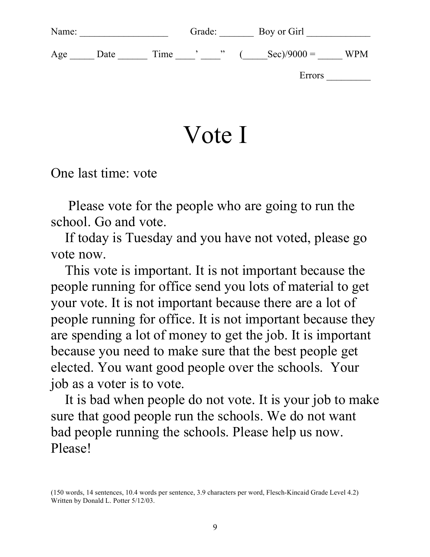| Name: |      |      | Grade: |                          |  | Boy or Girl          |            |  |
|-------|------|------|--------|--------------------------|--|----------------------|------------|--|
| Age   | Date | Time |        | $\overline{\phantom{1}}$ |  | $\text{Sec})/9000 =$ | <b>WPM</b> |  |
|       |      |      |        |                          |  | Errors               |            |  |
|       |      |      |        |                          |  |                      |            |  |

Vote I

One last time: vote

 Please vote for the people who are going to run the school. Go and vote.

 If today is Tuesday and you have not voted, please go vote now.

 This vote is important. It is not important because the people running for office send you lots of material to get your vote. It is not important because there are a lot of people running for office. It is not important because they are spending a lot of money to get the job. It is important because you need to make sure that the best people get elected. You want good people over the schools. Your job as a voter is to vote.

 It is bad when people do not vote. It is your job to make sure that good people run the schools. We do not want bad people running the schools. Please help us now. Please!

<sup>(150</sup> words, 14 sentences, 10.4 words per sentence, 3.9 characters per word, Flesch-Kincaid Grade Level 4.2) Written by Donald L. Potter 5/12/03.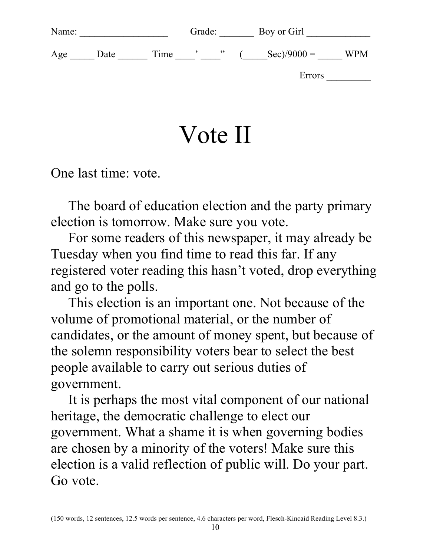| Name: |      |      | Grade: |                          | Boy or Girl          |            |
|-------|------|------|--------|--------------------------|----------------------|------------|
| Age   | Date | Time |        | $\overline{\phantom{1}}$ | $\text{Sec})/9000 =$ | <b>WPM</b> |
|       |      |      |        |                          | Errors               |            |
|       |      |      |        |                          |                      |            |

# Vote II

One last time: vote.

 The board of education election and the party primary election is tomorrow. Make sure you vote.

 For some readers of this newspaper, it may already be Tuesday when you find time to read this far. If any registered voter reading this hasn't voted, drop everything and go to the polls.

 This election is an important one. Not because of the volume of promotional material, or the number of candidates, or the amount of money spent, but because of the solemn responsibility voters bear to select the best people available to carry out serious duties of government.

 It is perhaps the most vital component of our national heritage, the democratic challenge to elect our government. What a shame it is when governing bodies are chosen by a minority of the voters! Make sure this election is a valid reflection of public will. Do your part. Go vote.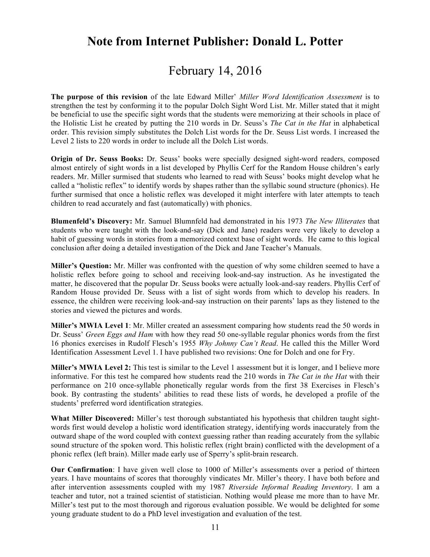# **Note from Internet Publisher: Donald L. Potter**

# February 14, 2016

**The purpose of this revision** of the late Edward Miller' *Miller Word Identification Assessment* is to strengthen the test by conforming it to the popular Dolch Sight Word List. Mr. Miller stated that it might be beneficial to use the specific sight words that the students were memorizing at their schools in place of the Holistic List he created by putting the 210 words in Dr. Seuss's *The Cat in the Hat* in alphabetical order. This revision simply substitutes the Dolch List words for the Dr. Seuss List words. I increased the Level 2 lists to 220 words in order to include all the Dolch List words.

**Origin of Dr. Seuss Books:** Dr. Seuss' books were specially designed sight-word readers, composed almost entirely of sight words in a list developed by Phyllis Cerf for the Random House children's early readers. Mr. Miller surmised that students who learned to read with Seuss' books might develop what he called a "holistic reflex" to identify words by shapes rather than the syllabic sound structure (phonics). He further surmised that once a holistic reflex was developed it might interfere with later attempts to teach children to read accurately and fast (automatically) with phonics.

**Blumenfeld's Discovery:** Mr. Samuel Blumnfeld had demonstrated in his 1973 *The New Illiterates* that students who were taught with the look-and-say (Dick and Jane) readers were very likely to develop a habit of guessing words in stories from a memorized context base of sight words. He came to this logical conclusion after doing a detailed investigation of the Dick and Jane Teacher's Manuals.

**Miller's Question:** Mr. Miller was confronted with the question of why some children seemed to have a holistic reflex before going to school and receiving look-and-say instruction. As he investigated the matter, he discovered that the popular Dr. Seuss books were actually look-and-say readers. Phyllis Cerf of Random House provided Dr. Seuss with a list of sight words from which to develop his readers. In essence, the children were receiving look-and-say instruction on their parents' laps as they listened to the stories and viewed the pictures and words.

**Miller's MWIA Level 1**: Mr. Miller created an assessment comparing how students read the 50 words in Dr. Seuss' *Green Eggs and Ham* with how they read 50 one-syllable regular phonics words from the first 16 phonics exercises in Rudolf Flesch's 1955 *Why Johnny Can't Read*. He called this the Miller Word Identification Assessment Level 1. I have published two revisions: One for Dolch and one for Fry.

**Miller's MWIA Level 2:** This test is similar to the Level 1 assessment but it is longer, and I believe more informative. For this test he compared how students read the 210 words in *The Cat in the Hat* with their performance on 210 once-syllable phonetically regular words from the first 38 Exercises in Flesch's book. By contrasting the students' abilities to read these lists of words, he developed a profile of the students' preferred word identification strategies.

**What Miller Discovered:** Miller's test thorough substantiated his hypothesis that children taught sightwords first would develop a holistic word identification strategy, identifying words inaccurately from the outward shape of the word coupled with context guessing rather than reading accurately from the syllabic sound structure of the spoken word. This holistic reflex (right brain) conflicted with the development of a phonic reflex (left brain). Miller made early use of Sperry's split-brain research.

**Our Confirmation**: I have given well close to 1000 of Miller's assessments over a period of thirteen years. I have mountains of scores that thoroughly vindicates Mr. Miller's theory. I have both before and after intervention assessments coupled with my 1987 *Riverside Informal Reading Inventory*. I am a teacher and tutor, not a trained scientist of statistician. Nothing would please me more than to have Mr. Miller's test put to the most thorough and rigorous evaluation possible. We would be delighted for some young graduate student to do a PhD level investigation and evaluation of the test.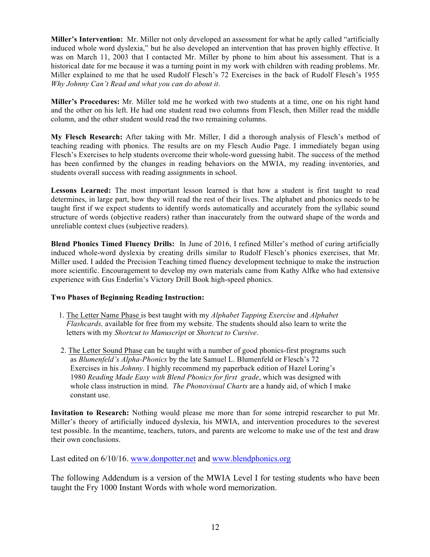**Miller's Intervention:** Mr. Miller not only developed an assessment for what he aptly called "artificially induced whole word dyslexia," but he also developed an intervention that has proven highly effective. It was on March 11, 2003 that I contacted Mr. Miller by phone to him about his assessment. That is a historical date for me because it was a turning point in my work with children with reading problems. Mr. Miller explained to me that he used Rudolf Flesch's 72 Exercises in the back of Rudolf Flesch's 1955 *Why Johnny Can't Read and what you can do about it*.

**Miller's Procedures:** Mr. Miller told me he worked with two students at a time, one on his right hand and the other on his left. He had one student read two columns from Flesch, then Miller read the middle column, and the other student would read the two remaining columns.

**My Flesch Research:** After taking with Mr. Miller, I did a thorough analysis of Flesch's method of teaching reading with phonics. The results are on my Flesch Audio Page. I immediately began using Flesch's Exercises to help students overcome their whole-word guessing habit. The success of the method has been confirmed by the changes in reading behaviors on the MWIA, my reading inventories, and students overall success with reading assignments in school.

Lessons Learned: The most important lesson learned is that how a student is first taught to read determines, in large part, how they will read the rest of their lives. The alphabet and phonics needs to be taught first if we expect students to identify words automatically and accurately from the syllabic sound structure of words (objective readers) rather than inaccurately from the outward shape of the words and unreliable context clues (subjective readers).

**Blend Phonics Timed Fluency Drills:** In June of 2016, I refined Miller's method of curing artificially induced whole-word dyslexia by creating drills similar to Rudolf Flesch's phonics exercises, that Mr. Miller used. I added the Precision Teaching timed fluency development technique to make the instruction more scientific. Encouragement to develop my own materials came from Kathy Alfke who had extensive experience with Gus Enderlin's Victory Drill Book high-speed phonics.

#### **Two Phases of Beginning Reading Instruction:**

- 1. The Letter Name Phase is best taught with my *Alphabet Tapping Exercise* and *Alphabet Flashcards,* available for free from my website. The students should also learn to write the letters with my *Shortcut to Manuscript* or *Shortcut to Cursive*.
- 2. The Letter Sound Phase can be taught with a number of good phonics-first programs such as *Blumenfeld's Alpha-Phonics* by the late Samuel L. Blumenfeld or Flesch's 72 Exercises in his *Johnny*. I highly recommend my paperback edition of Hazel Loring's 1980 *Reading Made Easy with Blend Phonics for first grade*, which was designed with whole class instruction in mind. *The Phonovisual Charts* are a handy aid, of which I make constant use.

**Invitation to Research:** Nothing would please me more than for some intrepid researcher to put Mr. Miller's theory of artificially induced dyslexia, his MWIA, and intervention procedures to the severest test possible. In the meantime, teachers, tutors, and parents are welcome to make use of the test and draw their own conclusions.

Last edited on 6/10/16. www.donpotter.net and www.blendphonics.org

The following Addendum is a version of the MWIA Level I for testing students who have been taught the Fry 1000 Instant Words with whole word memorization.